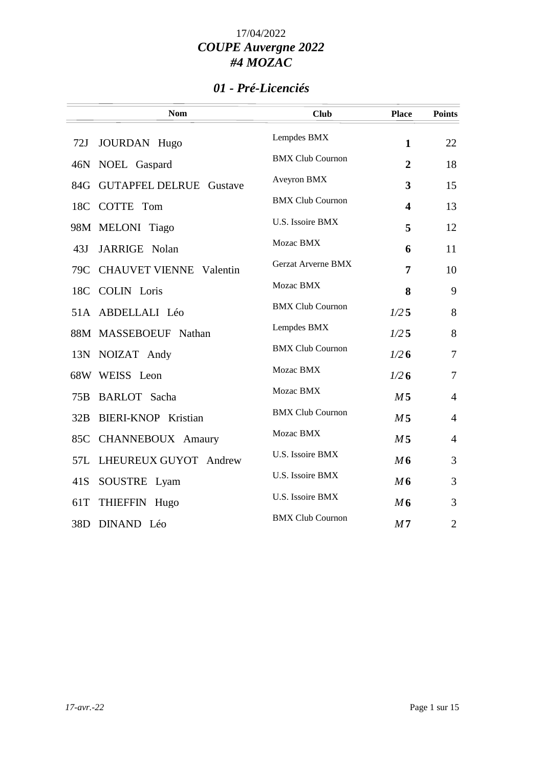### *01 - Pré-Licenciés*

|     | <b>Nom</b>                     | <b>Club</b>             | <b>Place</b>            | <b>Points</b>  |
|-----|--------------------------------|-------------------------|-------------------------|----------------|
| 72J | <b>JOURDAN</b> Hugo            | Lempdes BMX             | $\mathbf{1}$            | 22             |
| 46N | NOEL Gaspard                   | <b>BMX Club Cournon</b> | $\boldsymbol{2}$        | 18             |
| 84G | <b>GUTAPFEL DELRUE Gustave</b> | Aveyron BMX             | $\overline{\mathbf{3}}$ | 15             |
| 18C | COTTE Tom                      | <b>BMX Club Cournon</b> | 4                       | 13             |
|     | 98M MELONI Tiago               | U.S. Issoire BMX        | 5                       | 12             |
| 43J | JARRIGE Nolan                  | Mozac BMX               | 6                       | 11             |
| 79C | <b>CHAUVET VIENNE</b> Valentin | Gerzat Arverne BMX      | $\overline{7}$          | 10             |
| 18C | <b>COLIN</b> Loris             | Mozac BMX               | 8                       | 9              |
|     | 51A ABDELLALI Léo              | <b>BMX Club Cournon</b> | 1/25                    | 8              |
|     | 88M MASSEBOEUF Nathan          | Lempdes BMX             | 1/25                    | 8              |
|     | 13N NOIZAT Andy                | <b>BMX Club Cournon</b> | 1/26                    | $\tau$         |
|     | 68W WEISS Leon                 | Mozac BMX               | 1/26                    | $\tau$         |
| 75B | <b>BARLOT</b> Sacha            | Mozac BMX               | M <sub>5</sub>          | $\overline{4}$ |
| 32B | <b>BIERI-KNOP Kristian</b>     | <b>BMX Club Cournon</b> | M <sub>5</sub>          | $\overline{4}$ |
| 85C | CHANNEBOUX Amaury              | Mozac BMX               | M <sub>5</sub>          | $\overline{4}$ |
| 57L | LHEUREUX GUYOT Andrew          | U.S. Issoire BMX        | M6                      | 3              |
| 41S | SOUSTRE Lyam                   | U.S. Issoire BMX        | M6                      | 3              |
| 61T | THIEFFIN Hugo                  | U.S. Issoire BMX        | M6                      | 3              |
| 38D | DINAND Léo                     | <b>BMX Club Cournon</b> | M <sub>7</sub>          | $\overline{2}$ |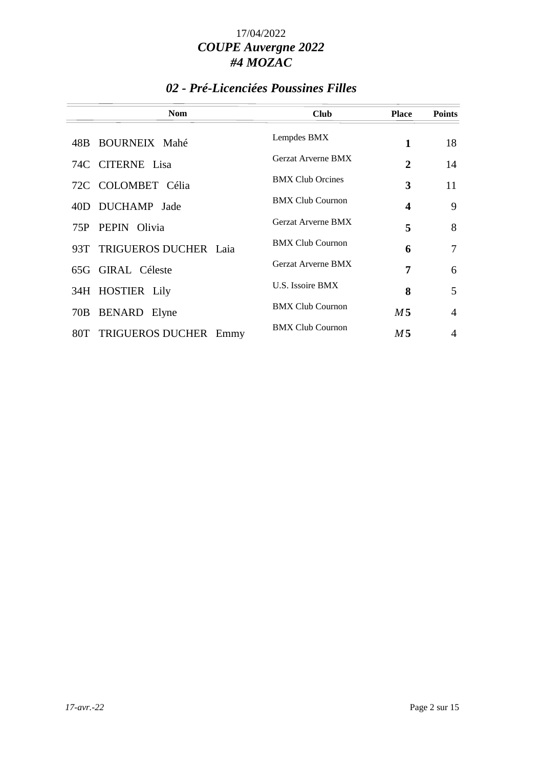### *02 - Pré-Licenciées Poussines Filles*

| <b>Nom</b>                 | <b>Club</b>               | <b>Place</b>     | <b>Points</b>  |
|----------------------------|---------------------------|------------------|----------------|
| 48B BOURNEIX Mahé          | Lempdes BMX               | 1                | 18             |
| 74C CITERNE Lisa           | <b>Gerzat Arverne BMX</b> | 2                | 14             |
| 72C COLOMBET Célia         | <b>BMX Club Orcines</b>   | 3                | 11             |
| 40D DUCHAMP Jade           | <b>BMX Club Cournon</b>   | $\boldsymbol{4}$ | 9              |
| PEPIN Olivia<br>75P        | <b>Gerzat Arverne BMX</b> | 5                | 8              |
| 93T TRIGUEROS DUCHER Laia  | <b>BMX Club Cournon</b>   | 6                | 7              |
| 65G GIRAL Céleste          | <b>Gerzat Arverne BMX</b> | 7                | 6              |
| 34H HOSTIER Lily           | U.S. Issoire BMX          | 8                | 5              |
| <b>BENARD</b> Elyne<br>70B | <b>BMX Club Cournon</b>   | M <sub>5</sub>   | $\overline{4}$ |
| 80T TRIGUEROS DUCHER Emmy  | <b>BMX Club Cournon</b>   | M <sub>5</sub>   | 4              |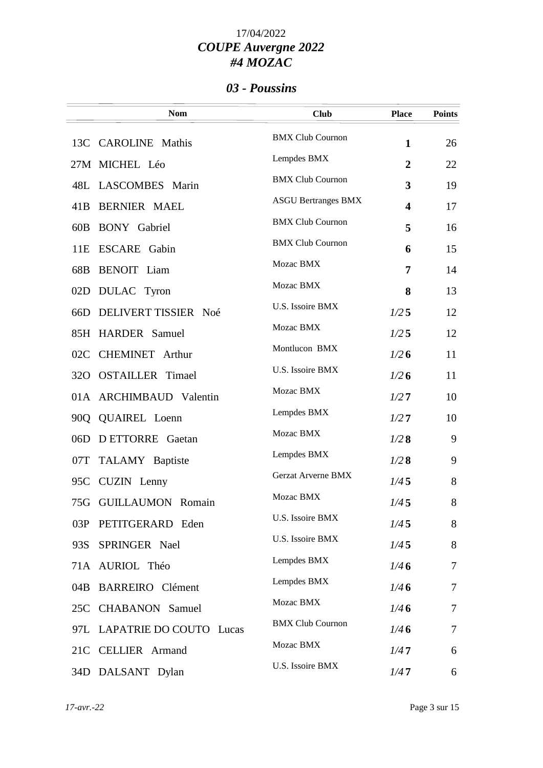#### *03 - Poussins*

|     | <b>Nom</b>                  | <b>Club</b>                | <b>Place</b> | <b>Points</b> |
|-----|-----------------------------|----------------------------|--------------|---------------|
| 13C | <b>CAROLINE</b> Mathis      | <b>BMX Club Cournon</b>    | $\mathbf{1}$ | 26            |
|     | 27M MICHEL Léo              | Lempdes BMX                | 2            | 22            |
| 48L | LASCOMBES Marin             | <b>BMX Club Cournon</b>    | 3            | 19            |
| 41B | <b>BERNIER MAEL</b>         | <b>ASGU Bertranges BMX</b> | 4            | 17            |
| 60B | <b>BONY</b> Gabriel         | <b>BMX Club Cournon</b>    | 5            | 16            |
| 11E | <b>ESCARE</b> Gabin         | <b>BMX Club Cournon</b>    | 6            | 15            |
| 68B | <b>BENOIT</b> Liam          | Mozac BMX                  | 7            | 14            |
| 02D | <b>DULAC</b> Tyron          | Mozac BMX                  | 8            | 13            |
| 66D | DELIVERT TISSIER Noé        | <b>U.S. Issoire BMX</b>    | 1/25         | 12            |
|     | 85H HARDER Samuel           | Mozac BMX                  | 1/25         | 12            |
| 02C | <b>CHEMINET</b> Arthur      | Montlucon BMX              | 1/26         | 11            |
| 32O | <b>OSTAILLER</b> Timael     | U.S. Issoire BMX           | 1/26         | 11            |
|     | 01A ARCHIMBAUD Valentin     | Mozac BMX                  | 1/27         | 10            |
| 90Q | <b>QUAIREL</b> Loenn        | Lempdes BMX                | 1/27         | 10            |
| 06D | <b>DETTORRE</b> Gaetan      | Mozac BMX                  | 1/28         | 9             |
| 07T | TALAMY Baptiste             | Lempdes BMX                | 1/28         | 9             |
| 95C | CUZIN Lenny                 | <b>Gerzat Arverne BMX</b>  | 1/45         | 8             |
|     | 75G GUILLAUMON Romain       | Mozac BMX                  | 1/45         | 8             |
| 03P | PETITGERARD Eden            | U.S. Issoire BMX           | 1/45         | 8             |
| 93S | SPRINGER Nael               | <b>U.S. Issoire BMX</b>    | 1/45         | 8             |
|     | 71A AURIOL Théo             | Lempdes BMX                | 1/46         | 7             |
| 04B | <b>BARREIRO</b> Clément     | Lempdes BMX                | 1/46         | 7             |
| 25C | <b>CHABANON</b> Samuel      | Mozac BMX                  | 1/46         | 7             |
|     | 97L LAPATRIE DO COUTO Lucas | <b>BMX Club Cournon</b>    | 1/46         | 7             |
| 21C | <b>CELLIER</b> Armand       | Mozac BMX                  | 1/47         | 6             |
|     | 34D DALSANT Dylan           | U.S. Issoire BMX           | 1/47         | 6             |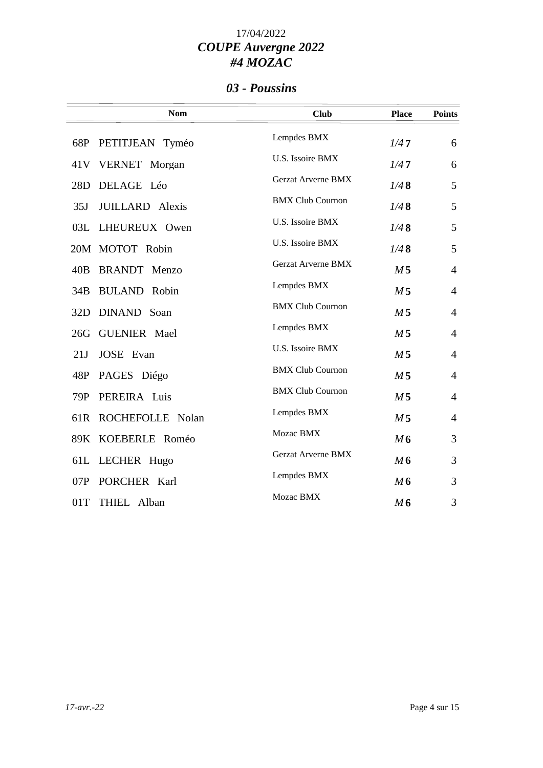#### *03 - Poussins*

|     | <b>Nom</b>             | <b>Club</b>               | <b>Place</b>   | <b>Points</b>  |
|-----|------------------------|---------------------------|----------------|----------------|
|     | 68P PETITJEAN Tyméo    | Lempdes BMX               | 1/47           | 6              |
|     | 41V VERNET Morgan      | U.S. Issoire BMX          | 1/47           | 6              |
| 28D | DELAGE Léo             | Gerzat Arverne BMX        | 1/48           | 5              |
| 35J | <b>JUILLARD</b> Alexis | <b>BMX Club Cournon</b>   | 1/48           | 5              |
| 03L | LHEUREUX Owen          | U.S. Issoire BMX          | 1/48           | 5              |
|     | 20M MOTOT Robin        | U.S. Issoire BMX          | 1/48           | 5              |
| 40B | <b>BRANDT</b> Menzo    | <b>Gerzat Arverne BMX</b> | M 5            | $\overline{4}$ |
| 34B | <b>BULAND</b> Robin    | Lempdes BMX               | M <sub>5</sub> | $\overline{4}$ |
| 32D | DINAND Soan            | <b>BMX Club Cournon</b>   | M <sub>5</sub> | $\overline{4}$ |
| 26G | <b>GUENIER</b> Mael    | Lempdes BMX               | M <sub>5</sub> | $\overline{4}$ |
| 21J | <b>JOSE</b> Evan       | U.S. Issoire BMX          | M <sub>5</sub> | $\overline{4}$ |
|     | 48P PAGES Diégo        | <b>BMX Club Cournon</b>   | M <sub>5</sub> | $\overline{4}$ |
| 79P | PEREIRA Luis           | <b>BMX Club Cournon</b>   | M <sub>5</sub> | $\overline{4}$ |
| 61R | ROCHEFOLLE Nolan       | Lempdes BMX               | M <sub>5</sub> | $\overline{4}$ |
|     | 89K KOEBERLE Roméo     | Mozac BMX                 | M6             | 3              |
|     | 61L LECHER Hugo        | Gerzat Arverne BMX        | M6             | 3              |
| 07P | PORCHER Karl           | Lempdes BMX               | M6             | 3              |
| 01T | THIEL Alban            | Mozac BMX                 | M6             | 3              |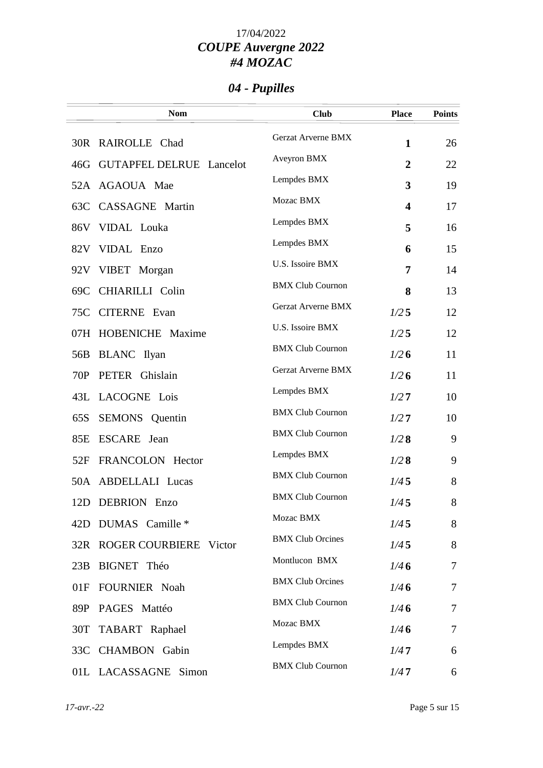# *04 - Pupilles*

|     | <b>Nom</b>                   | <b>Club</b>               | <b>Place</b>   | <b>Points</b> |
|-----|------------------------------|---------------------------|----------------|---------------|
|     | 30R RAIROLLE Chad            | <b>Gerzat Arverne BMX</b> | $\mathbf{1}$   | 26            |
|     | 46G GUTAPFEL DELRUE Lancelot | Aveyron BMX               | $\overline{2}$ | 22            |
|     | 52A AGAOUA Mae               | Lempdes BMX               | 3              | 19            |
|     | 63C CASSAGNE Martin          | Mozac BMX                 | 4              | 17            |
|     | 86V VIDAL Louka              | Lempdes BMX               | 5              | 16            |
|     | 82V VIDAL Enzo               | Lempdes BMX               | 6              | 15            |
|     | 92V VIBET Morgan             | U.S. Issoire BMX          | 7              | 14            |
| 69C | CHIARILLI Colin              | <b>BMX Club Cournon</b>   | 8              | 13            |
| 75C | <b>CITERNE</b> Evan          | <b>Gerzat Arverne BMX</b> | 1/25           | 12            |
|     | 07H HOBENICHE Maxime         | U.S. Issoire BMX          | 1/25           | 12            |
| 56B | <b>BLANC</b> Ilyan           | <b>BMX Club Cournon</b>   | 1/26           | 11            |
| 70P | PETER Ghislain               | Gerzat Arverne BMX        | 1/26           | 11            |
|     | 43L LACOGNE Lois             | Lempdes BMX               | 1/27           | 10            |
| 65S | <b>SEMONS</b> Quentin        | <b>BMX Club Cournon</b>   | 1/27           | 10            |
| 85E | ESCARE Jean                  | <b>BMX Club Cournon</b>   | 1/28           | 9             |
| 52F | FRANCOLON Hector             | Lempdes BMX               | 1/28           | 9             |
|     | 50A ABDELLALI Lucas          | <b>BMX Club Cournon</b>   | 1/45           | 8             |
| 12D | <b>DEBRION</b><br>Enzo       | <b>BMX Club Cournon</b>   | 1/45           | 8             |
| 42D | DUMAS Camille *              | Mozac BMX                 | 1/45           | 8             |
|     | 32R ROGER COURBIERE Victor   | <b>BMX Club Orcines</b>   | 1/45           | 8             |
| 23B | BIGNET Théo                  | Montlucon BMX             | 1/46           | 7             |
| 01F | FOURNIER Noah                | <b>BMX Club Orcines</b>   | 1/46           | 7             |
| 89P | PAGES Mattéo                 | <b>BMX Club Cournon</b>   | 1/46           | 7             |
| 30T | TABART Raphael               | Mozac BMX                 | 1/46           | 7             |
|     | 33C CHAMBON Gabin            | Lempdes BMX               | 1/47           | 6             |
|     | 01L LACASSAGNE Simon         | <b>BMX Club Cournon</b>   | 1/47           | 6             |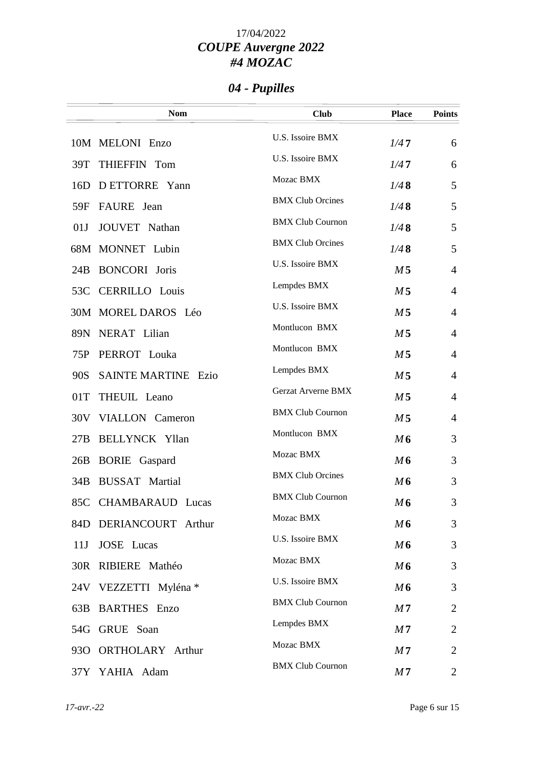# *04 - Pupilles*

|                 | <b>Nom</b>                 | <b>Club</b>             | <b>Place</b>   | <b>Points</b>  |
|-----------------|----------------------------|-------------------------|----------------|----------------|
|                 | 10M MELONI Enzo            | U.S. Issoire BMX        | 1/47           | 6              |
| 39T             | THIEFFIN Tom               | U.S. Issoire BMX        | 1/47           | 6              |
| 16D             | D ETTORRE Yann             | Mozac BMX               | 1/48           | 5              |
| 59F             | <b>FAURE</b> Jean          | <b>BMX Club Orcines</b> | 1/48           | 5              |
| 01J             | JOUVET Nathan              | <b>BMX Club Cournon</b> | 1/48           | 5              |
|                 | 68M MONNET Lubin           | <b>BMX Club Orcines</b> | 1/48           | 5              |
| 24B             | <b>BONCORI</b> Joris       | U.S. Issoire BMX        | M <sub>5</sub> | $\overline{4}$ |
| 53C             | <b>CERRILLO</b> Louis      | Lempdes BMX             | M <sub>5</sub> | $\overline{4}$ |
|                 | 30M MOREL DAROS Léo        | U.S. Issoire BMX        | M <sub>5</sub> | $\overline{4}$ |
| 89N             | NERAT Lilian               | Montlucon BMX           | M <sub>5</sub> | $\overline{4}$ |
| 75P             | PERROT Louka               | Montlucon BMX           | M <sub>5</sub> | $\overline{4}$ |
| 90S             | <b>SAINTE MARTINE Ezio</b> | Lempdes BMX             | M <sub>5</sub> | $\overline{4}$ |
| 01T             | THEUIL Leano               | Gerzat Arverne BMX      | M <sub>5</sub> | $\overline{4}$ |
|                 | 30V VIALLON Cameron        | <b>BMX Club Cournon</b> | M <sub>5</sub> | $\overline{4}$ |
| 27B             | <b>BELLYNCK Yllan</b>      | Montlucon BMX           | M6             | 3              |
| 26B             | <b>BORIE</b> Gaspard       | Mozac BMX               | M6             | 3              |
| 34B             | <b>BUSSAT</b> Martial      | <b>BMX Club Orcines</b> | M6             | 3              |
|                 | 85C CHAMBARAUD Lucas       | <b>BMX Club Cournon</b> | M6             | 3              |
|                 | 84D DERIANCOURT Arthur     | Mozac BMX               | M6             | 3              |
| 11J             | <b>JOSE</b> Lucas          | U.S. Issoire BMX        | M6             | 3              |
|                 | 30R RIBIERE Mathéo         | Mozac BMX               | M6             | 3              |
|                 | 24V VEZZETTI Myléna *      | U.S. Issoire BMX        | M6             | 3              |
| 63B             | <b>BARTHES</b> Enzo        | <b>BMX Club Cournon</b> | M <sub>7</sub> | $\overline{2}$ |
|                 | 54G GRUE Soan              | Lempdes BMX             | M <sub>7</sub> | $\overline{2}$ |
| 93 <sub>O</sub> | <b>ORTHOLARY</b> Arthur    | Mozac BMX               | M <sub>7</sub> | $\overline{2}$ |
|                 | 37Y YAHIA Adam             | <b>BMX Club Cournon</b> | M <sub>7</sub> | $\overline{2}$ |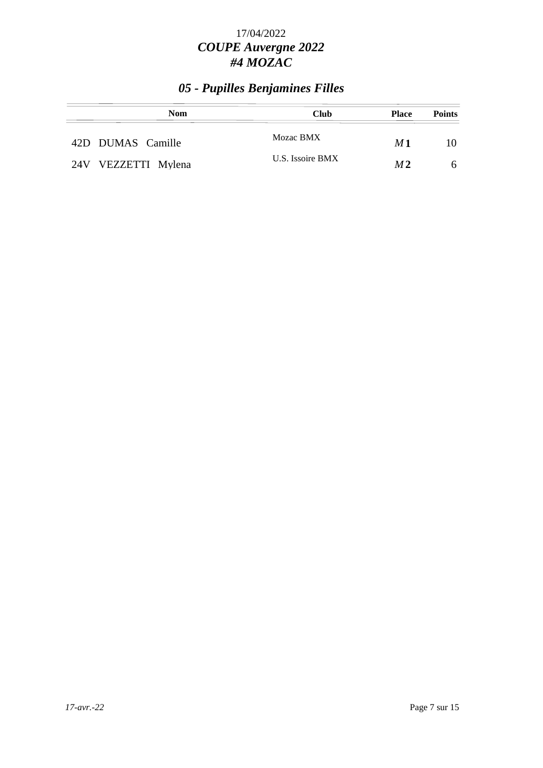## *05 - Pupilles Benjamines Filles*

| <b>Nom</b>          | <b>Club</b>      | <b>Place</b>   | <b>Points</b> |
|---------------------|------------------|----------------|---------------|
| 42D DUMAS Camille   | Mozac BMX        | M1             | 10            |
| 24V VEZZETTI Mylena | U.S. Issoire BMX | M <sub>2</sub> | 6             |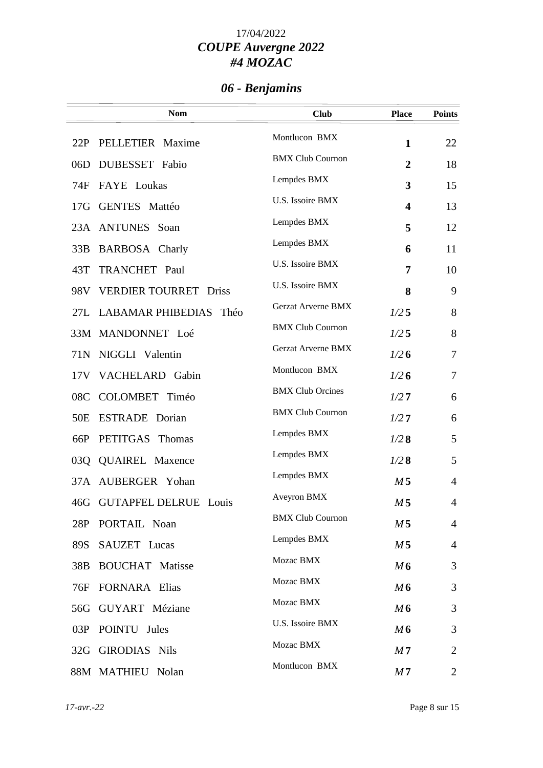# *06 - Benjamins*

|                 | <b>Nom</b>                      | <b>Club</b>               | <b>Place</b>            | <b>Points</b>  |
|-----------------|---------------------------------|---------------------------|-------------------------|----------------|
| 22P             | PELLETIER Maxime                | Montlucon BMX             | $\mathbf{1}$            | 22             |
| 06D             | DUBESSET Fabio                  | <b>BMX Club Cournon</b>   | $\overline{2}$          | 18             |
| 74F             | FAYE Loukas                     | Lempdes BMX               | 3                       | 15             |
|                 | 17G GENTES Mattéo               | U.S. Issoire BMX          | $\overline{\mathbf{4}}$ | 13             |
|                 | 23A ANTUNES Soan                | Lempdes BMX               | 5                       | 12             |
| 33B             | <b>BARBOSA</b> Charly           | Lempdes BMX               | 6                       | 11             |
| 43T             | TRANCHET Paul                   | U.S. Issoire BMX          | 7                       | 10             |
| 98V             | <b>VERDIER TOURRET Driss</b>    | U.S. Issoire BMX          | 8                       | 9              |
|                 | 27L LABAMAR PHIBEDIAS Théo      | <b>Gerzat Arverne BMX</b> | 1/25                    | 8              |
|                 | 33M MANDONNET Loé               | <b>BMX Club Cournon</b>   | 1/25                    | 8              |
| 71N             | NIGGLI Valentin                 | <b>Gerzat Arverne BMX</b> | 1/26                    | 7              |
| 17V             | VACHELARD Gabin                 | Montlucon BMX             | 1/26                    | $\overline{7}$ |
| 08C             | COLOMBET Timéo                  | <b>BMX Club Orcines</b>   | 1/27                    | 6              |
| 50 <sub>E</sub> | ESTRADE Dorian                  | <b>BMX Club Cournon</b>   | 1/27                    | 6              |
| 66P             | PETITGAS Thomas                 | Lempdes BMX               | 1/28                    | 5              |
| 03Q             | <b>QUAIREL Maxence</b>          | Lempdes BMX               | 1/28                    | 5              |
| 37A             | AUBERGER Yohan                  | Lempdes BMX               | M <sub>5</sub>          | $\overline{4}$ |
| 46G             | <b>GUTAPFEL DELRUE</b><br>Louis | Aveyron BMX               | M <sub>5</sub>          | 4              |
| 28P             | PORTAIL Noan                    | <b>BMX Club Cournon</b>   | M 5                     | $\overline{4}$ |
| 89S             | SAUZET Lucas                    | Lempdes BMX               | M <sub>5</sub>          | $\overline{4}$ |
| 38B             | <b>BOUCHAT</b> Matisse          | Mozac BMX                 | M6                      | 3              |
| 76F             | <b>FORNARA</b> Elias            | Mozac BMX                 | M6                      | 3              |
|                 | 56G GUYART Méziane              | Mozac BMX                 | M6                      | 3              |
|                 | 03P POINTU Jules                | U.S. Issoire BMX          | M6                      | 3              |
|                 | 32G GIRODIAS Nils               | Mozac BMX                 | M <sub>7</sub>          | $\overline{2}$ |
|                 | 88M MATHIEU Nolan               | Montlucon BMX             | M <sub>7</sub>          | $\overline{2}$ |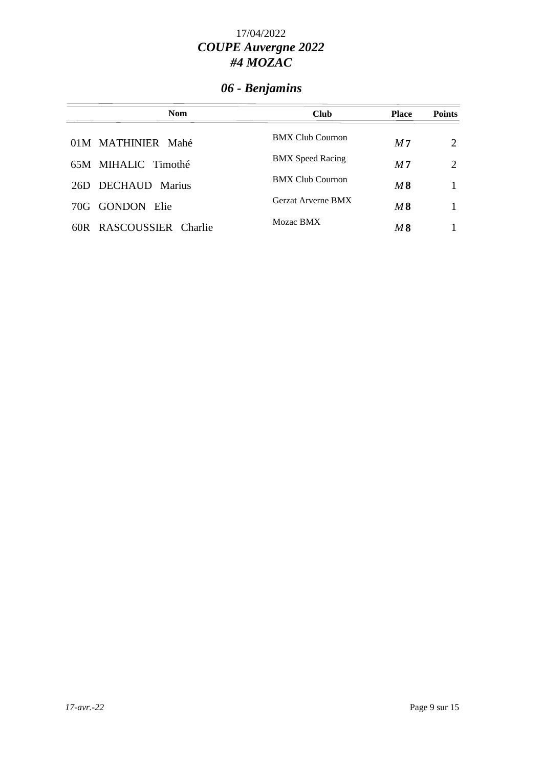# *06 - Benjamins*

| <b>Nom</b>              | <b>Club</b>             | <b>Place</b>   | <b>Points</b>               |
|-------------------------|-------------------------|----------------|-----------------------------|
| 01M MATHINIER Mahé      | <b>BMX Club Cournon</b> | M <sub>7</sub> | $\mathcal{D}_{\mathcal{L}}$ |
| 65M MIHALIC Timothé     | <b>BMX</b> Speed Racing | M <sub>7</sub> | $\mathcal{D}_{\mathcal{L}}$ |
| DECHAUD Marius<br>26D.  | <b>BMX Club Cournon</b> | M8             |                             |
| 70G GONDON Elie         | Gerzat Arverne BMX      | M8             |                             |
| 60R RASCOUSSIER Charlie | Mozac BMX               | M8             |                             |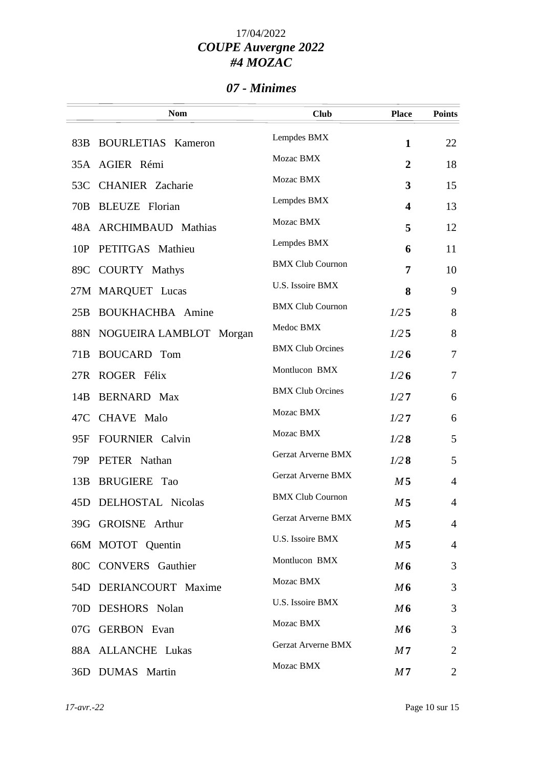#### *07 - Minimes*

|     | <b>Nom</b>              | <b>Club</b>               | <b>Place</b>            | <b>Points</b>  |
|-----|-------------------------|---------------------------|-------------------------|----------------|
|     | 83B BOURLETIAS Kameron  | Lempdes BMX               | $\mathbf{1}$            | 22             |
|     | 35A AGIER Rémi          | Mozac BMX                 | $\overline{2}$          | 18             |
|     | 53C CHANIER Zacharie    | Mozac BMX                 | 3                       | 15             |
|     | 70B BLEUZE Florian      | Lempdes BMX               | $\overline{\mathbf{4}}$ | 13             |
|     | 48A ARCHIMBAUD Mathias  | Mozac BMX                 | 5                       | 12             |
| 10P | PETITGAS Mathieu        | Lempdes BMX               | 6                       | 11             |
|     | 89C COURTY Mathys       | <b>BMX Club Cournon</b>   | 7                       | 10             |
|     | 27M MARQUET Lucas       | U.S. Issoire BMX          | 8                       | 9              |
| 25B | <b>BOUKHACHBA</b> Amine | <b>BMX Club Cournon</b>   | 1/25                    | 8              |
| 88N | NOGUEIRA LAMBLOT Morgan | Medoc BMX                 | 1/25                    | 8              |
| 71B | <b>BOUCARD</b> Tom      | <b>BMX Club Orcines</b>   | 1/26                    | $\overline{7}$ |
|     | 27R ROGER Félix         | Montlucon BMX             | 1/26                    | $\overline{7}$ |
| 14B | <b>BERNARD</b> Max      | <b>BMX Club Orcines</b>   | 1/27                    | 6              |
| 47C | <b>CHAVE</b> Malo       | Mozac BMX                 | 1/27                    | 6              |
| 95F | <b>FOURNIER</b> Calvin  | Mozac BMX                 | 1/28                    | 5              |
| 79P | PETER Nathan            | Gerzat Arverne BMX        | 1/28                    | 5              |
| 13B | <b>BRUGIERE</b> Tao     | Gerzat Arverne BMX        | M <sub>5</sub>          | $\overline{4}$ |
| 45D | DELHOSTAL Nicolas       | <b>BMX Club Cournon</b>   | M <sub>5</sub>          | 4              |
|     | 39G GROISNE Arthur      | <b>Gerzat Arverne BMX</b> | M 5                     | $\overline{4}$ |
|     | 66M MOTOT Quentin       | U.S. Issoire BMX          | M <sub>5</sub>          | $\overline{4}$ |
|     | 80C CONVERS Gauthier    | Montlucon BMX             | M6                      | 3              |
|     | 54D DERIANCOURT Maxime  | Mozac BMX                 | M6                      | 3              |
| 70D | <b>DESHORS</b> Nolan    | U.S. Issoire BMX          | M6                      | 3              |
|     | 07G GERBON Evan         | Mozac BMX                 | M6                      | 3              |
|     | 88A ALLANCHE Lukas      | Gerzat Arverne BMX        | M7                      | 2              |
|     | 36D DUMAS Martin        | Mozac BMX                 | M <sub>7</sub>          | 2              |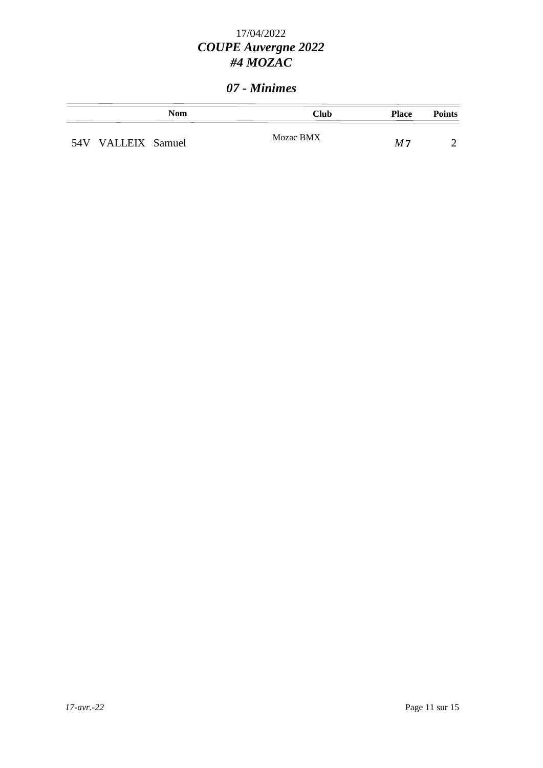#### *07 - Minimes*

|                    | Nom | Club      | <b>Place</b> | <b>Points</b> |
|--------------------|-----|-----------|--------------|---------------|
| 54V VALLEIX Samuel |     | Mozac BMX | M 7          |               |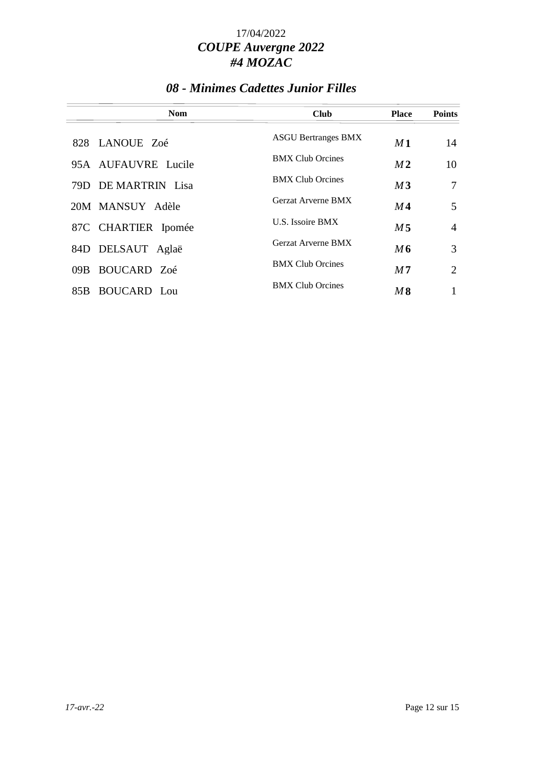### *08 - Minimes Cadettes Junior Filles*

| <b>Nom</b>                 | <b>Club</b>                | <b>Place</b>   | <b>Points</b>  |
|----------------------------|----------------------------|----------------|----------------|
| 828 LANOUE Zoé             | <b>ASGU Bertranges BMX</b> | M1             | 14             |
| 95A AUFAUVRE Lucile        | <b>BMX Club Orcines</b>    | M <sub>2</sub> | 10             |
| 79D DE MARTRIN Lisa        | <b>BMX Club Orcines</b>    | M3             | 7              |
| 20M MANSUY Adèle           | Gerzat Arverne BMX         | M4             | 5              |
| 87C CHARTIER Ipomée        | U.S. Issoire BMX           | M <sub>5</sub> | $\overline{4}$ |
| 84D DELSAUT Aglaë          | Gerzat Arverne BMX         | M6             | 3              |
| BOUCARD Zoé<br>09B.        | <b>BMX Club Orcines</b>    | M <sub>7</sub> | $\overline{2}$ |
| <b>BOUCARD</b> Lou<br>85B. | <b>BMX Club Orcines</b>    | M8             |                |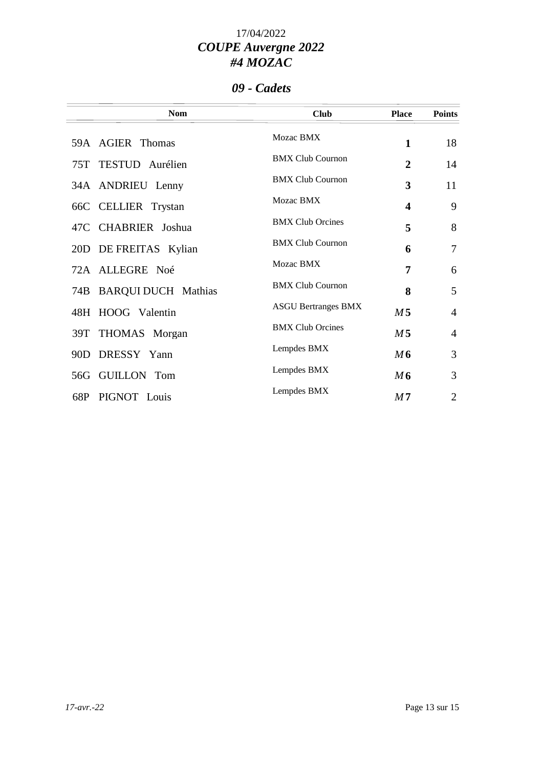### *09 - Cadets*

|     | <b>Nom</b>              | <b>Club</b>                | <b>Place</b>   | <b>Points</b>  |
|-----|-------------------------|----------------------------|----------------|----------------|
|     | 59A AGIER Thomas        | Mozac BMX                  | $\mathbf{1}$   | 18             |
|     | 75T TESTUD Aurélien     | <b>BMX Club Cournon</b>    | $\overline{2}$ | 14             |
|     | 34A ANDRIEU Lenny       | <b>BMX Club Cournon</b>    | 3              | 11             |
|     | 66C CELLIER Trystan     | Mozac BMX                  | 4              | 9              |
|     | 47C CHABRIER Joshua     | <b>BMX Club Orcines</b>    | 5              | 8              |
|     | 20D DE FREITAS Kylian   | <b>BMX Club Cournon</b>    | 6              | $\overline{7}$ |
|     | 72A ALLEGRE Noé         | Mozac BMX                  | 7              | 6              |
|     | 74B BARQUI DUCH Mathias | <b>BMX Club Cournon</b>    | 8              | 5              |
|     | 48H HOOG Valentin       | <b>ASGU Bertranges BMX</b> | M <sub>5</sub> | $\overline{4}$ |
|     | 39T THOMAS Morgan       | <b>BMX Club Orcines</b>    | M <sub>5</sub> | $\overline{4}$ |
|     | 90D DRESSY Yann         | Lempdes BMX                | M6             | 3              |
| 56G | <b>GUILLON Tom</b>      | Lempdes BMX                | M6             | 3              |
|     | 68P PIGNOT Louis        | Lempdes BMX                | M <sub>7</sub> | $\overline{2}$ |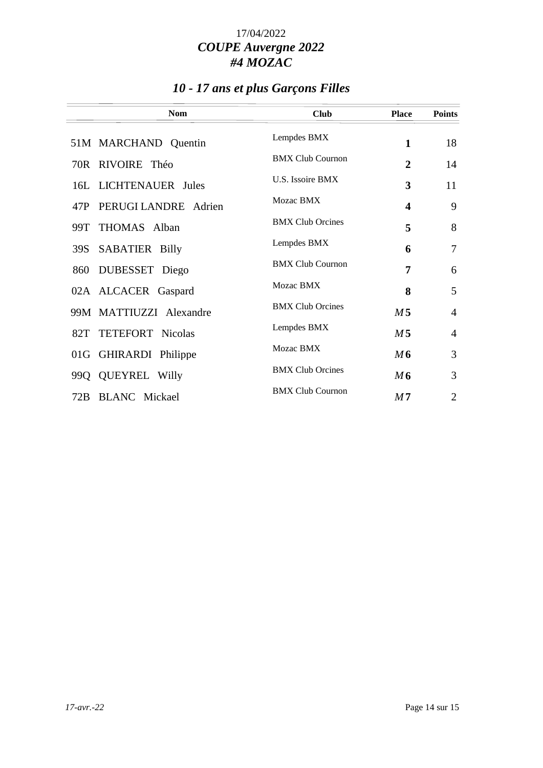# *10 - 17 ans et plus Garçons Filles*

| <b>Nom</b>                   | <b>Club</b>             | <b>Place</b>            | <b>Points</b>  |
|------------------------------|-------------------------|-------------------------|----------------|
| 51M MARCHAND Quentin         | Lempdes BMX             | $\mathbf{1}$            | 18             |
| 70R RIVOIRE Théo             | <b>BMX Club Cournon</b> | $\overline{2}$          | 14             |
| 16L LICHTENAUER Jules        | U.S. Issoire BMX        | 3                       | 11             |
| 47P PERUGI LANDRE Adrien     | Mozac BMX               | $\overline{\mathbf{4}}$ | 9              |
| 99T THOMAS Alban             | <b>BMX Club Orcines</b> | 5                       | 8              |
| <b>SABATIER Billy</b><br>39S | Lempdes BMX             | 6                       | $\overline{7}$ |
| DUBESSET Diego<br>860        | <b>BMX Club Cournon</b> | 7                       | 6              |
| 02A ALCACER Gaspard          | Mozac BMX               | 8                       | 5              |
| 99M MATTIUZZI Alexandre      | <b>BMX Club Orcines</b> | M <sub>5</sub>          | $\overline{4}$ |
| 82T TETEFORT Nicolas         | Lempdes BMX             | M <sub>5</sub>          | $\overline{4}$ |
| 01G GHIRARDI Philippe        | Mozac BMX               | M6                      | 3              |
| 99Q QUEYREL Willy            | <b>BMX Club Orcines</b> | M6                      | 3              |
| 72B BLANC Mickael            | <b>BMX Club Cournon</b> | M <sub>7</sub>          | $\overline{2}$ |